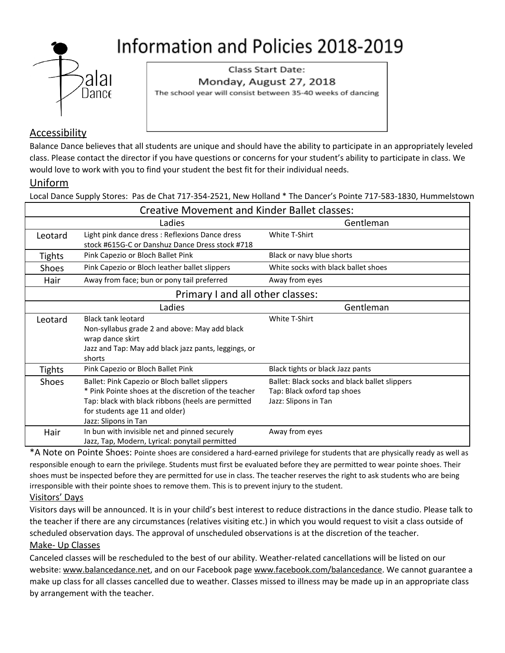

Class Start Date: Monday, August 27, 2018 The school year will consist between 35-40 weeks of dancing

# Accessibility

Balance Dance believes that all students are unique and should have the ability to participate in an appropriately leveled class. Please contact the director if you have questions or concerns for your student's ability to participate in class. We would love to work with you to find your student the best fit for their individual needs.

## Uniform

Local Dance Supply Stores: Pas de Chat 717-354-2521, New Holland \* The Dancer's Pointe 717-583-1830, Hummelstown

| <b>Creative Movement and Kinder Ballet classes:</b> |                                                                                                    |                                               |  |  |  |  |
|-----------------------------------------------------|----------------------------------------------------------------------------------------------------|-----------------------------------------------|--|--|--|--|
|                                                     | Ladies                                                                                             | Gentleman                                     |  |  |  |  |
| Leotard                                             | Light pink dance dress : Reflexions Dance dress<br>stock #615G-C or Danshuz Dance Dress stock #718 | White T-Shirt                                 |  |  |  |  |
| <b>Tights</b>                                       | Pink Capezio or Bloch Ballet Pink                                                                  | Black or navy blue shorts                     |  |  |  |  |
| <b>Shoes</b>                                        | Pink Capezio or Bloch leather ballet slippers                                                      | White socks with black ballet shoes           |  |  |  |  |
| Hair                                                | Away from face; bun or pony tail preferred                                                         | Away from eyes                                |  |  |  |  |
| Primary I and all other classes:                    |                                                                                                    |                                               |  |  |  |  |
|                                                     | Ladies                                                                                             | Gentleman                                     |  |  |  |  |
| Leotard                                             | <b>Black tank leotard</b>                                                                          | White T-Shirt                                 |  |  |  |  |
|                                                     | Non-syllabus grade 2 and above: May add black                                                      |                                               |  |  |  |  |
|                                                     | wrap dance skirt                                                                                   |                                               |  |  |  |  |
|                                                     | Jazz and Tap: May add black jazz pants, leggings, or                                               |                                               |  |  |  |  |
|                                                     | shorts                                                                                             |                                               |  |  |  |  |
| <b>Tights</b>                                       | Pink Capezio or Bloch Ballet Pink                                                                  | Black tights or black Jazz pants              |  |  |  |  |
| <b>Shoes</b>                                        | Ballet: Pink Capezio or Bloch ballet slippers                                                      | Ballet: Black socks and black ballet slippers |  |  |  |  |
|                                                     | * Pink Pointe shoes at the discretion of the teacher                                               | Tap: Black oxford tap shoes                   |  |  |  |  |
|                                                     | Tap: black with black ribbons (heels are permitted                                                 | Jazz: Slipons in Tan                          |  |  |  |  |
|                                                     | for students age 11 and older)                                                                     |                                               |  |  |  |  |
|                                                     | Jazz: Slipons in Tan                                                                               |                                               |  |  |  |  |
| Hair                                                | In bun with invisible net and pinned securely                                                      | Away from eyes                                |  |  |  |  |
|                                                     | Jazz, Tap, Modern, Lyrical: ponytail permitted                                                     |                                               |  |  |  |  |

\*A Note on Pointe Shoes: Pointe shoes are considered a hard-earned privilege for students that are physically ready as well as responsible enough to earn the privilege. Students must first be evaluated before they are permitted to wear pointe shoes. Their shoes must be inspected before they are permitted for use in class. The teacher reserves the right to ask students who are being irresponsible with their pointe shoes to remove them. This is to prevent injury to the student.

### Visitors' Days

Visitors days will be announced. It is in your child's best interest to reduce distractions in the dance studio. Please talk to the teacher if there are any circumstances (relatives visiting etc.) in which you would request to visit a class outside of scheduled observation days. The approval of unscheduled observations is at the discretion of the teacher. Make- Up Classes

Canceled classes will be rescheduled to the best of our ability. Weather-related cancellations will be listed on our website: [www.balancedance.net](http://www.balancedance.net/), and on our Facebook page [www.facebook.com/balancedance.](http://www.facebook.com/balancedance) We cannot guarantee a make up class for all classes cancelled due to weather. Classes missed to illness may be made up in an appropriate class by arrangement with the teacher.